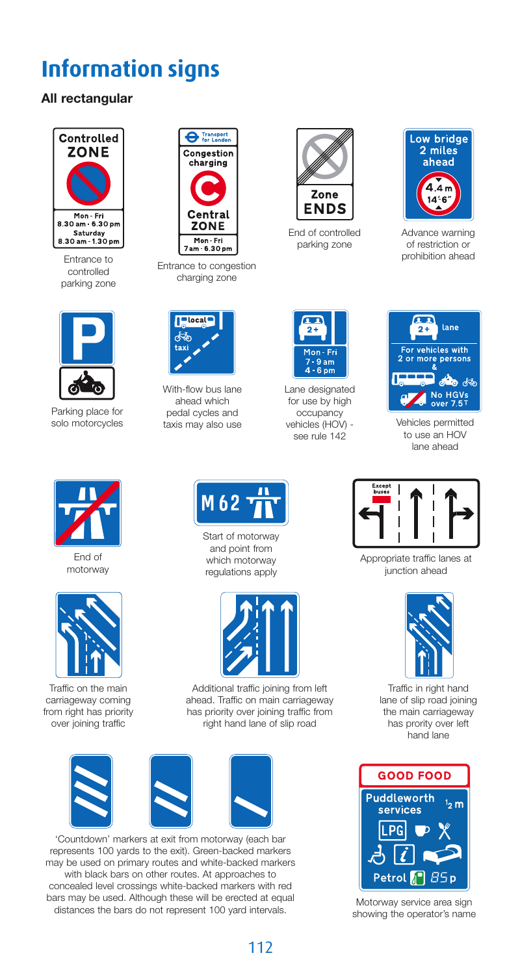## **Information signs**

## **All rectangular**



Entrance to controlled parking zone



Parking place for solo motorcycles



End of motorway



Traffic on the main carriageway coming from right has priority over joining traffic



Entrance to congestion charging zone



With-flow bus lane ahead which pedal cycles and taxis may also use



End of controlled parking zone



Advance warning of restriction or prohibition ahead



Lane designated for use by high occupancy vehicles (HOV) see rule 142



Vehicles permitted to use an HOV lane ahead



Start of motorway and point from which motorway regulations apply



Additional traffic joining from left ahead. Traffic on main carriageway has priority over joining traffic from right hand lane of slip road



'Countdown' markers at exit from motorway (each bar represents 100 yards to the exit). Green-backed markers may be used on primary routes and white-backed markers with black bars on other routes. At approaches to concealed level crossings white-backed markers with red bars may be used. Although these will be erected at equal distances the bars do not represent 100 yard intervals.



Appropriate traffic lanes at junction ahead



Traffic in right hand lane of slip road joining the main carriageway has prority over left hand lane



Motorway service area sign showing the operator's name